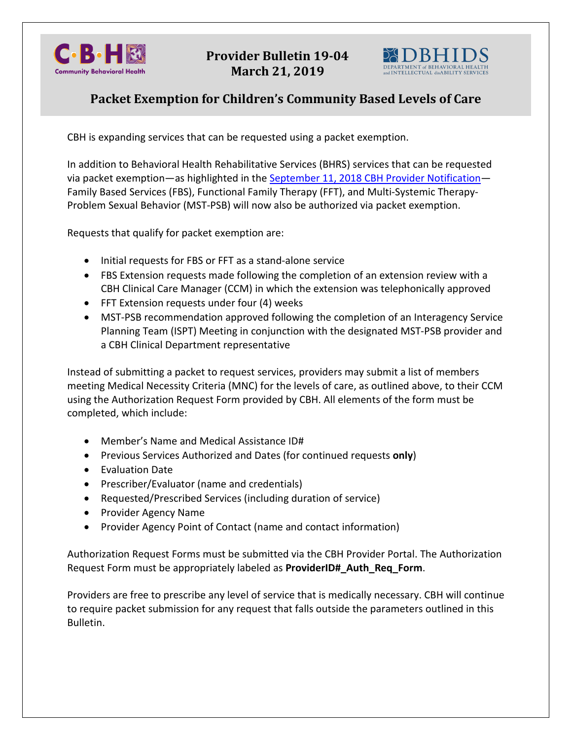



## **Packet Exemption for Children's Community Based Levels of Care**

CBH is expanding services that can be requested using a packet exemption.

In addition to Behavioral Health Rehabilitative Services (BHRS) services that can be requested via packet exemption—as highlighted in th[e September 11, 2018 CBH Provider Notification—](https://dbhids.org/wp-content/uploads/2018/09/BHRS-STS.pdf) Family Based Services (FBS), Functional Family Therapy (FFT), and Multi-Systemic Therapy-Problem Sexual Behavior (MST-PSB) will now also be authorized via packet exemption.

Requests that qualify for packet exemption are:

- Initial requests for FBS or FFT as a stand-alone service
- FBS Extension requests made following the completion of an extension review with a CBH Clinical Care Manager (CCM) in which the extension was telephonically approved
- FFT Extension requests under four (4) weeks
- MST-PSB recommendation approved following the completion of an Interagency Service Planning Team (ISPT) Meeting in conjunction with the designated MST-PSB provider and a CBH Clinical Department representative

Instead of submitting a packet to request services, providers may submit a list of members meeting Medical Necessity Criteria (MNC) for the levels of care, as outlined above, to their CCM using the Authorization Request Form provided by CBH. All elements of the form must be completed, which include:

- Member's Name and Medical Assistance ID#
- Previous Services Authorized and Dates (for continued requests **only**)
- Evaluation Date
- Prescriber/Evaluator (name and credentials)
- Requested/Prescribed Services (including duration of service)
- Provider Agency Name
- Provider Agency Point of Contact (name and contact information)

Authorization Request Forms must be submitted via the CBH Provider Portal. The Authorization Request Form must be appropriately labeled as **ProviderID#\_Auth\_Req\_Form**.

Providers are free to prescribe any level of service that is medically necessary. CBH will continue to require packet submission for any request that falls outside the parameters outlined in this Bulletin.